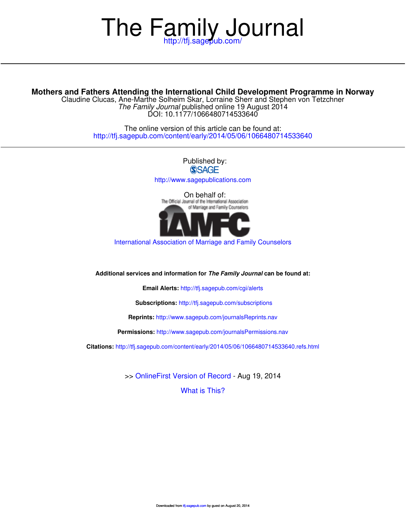# The Family Journal

# **Mothers and Fathers Attending the International Child Development Programme in Norway**

DOI: 10.1177/1066480714533640 The Family Journal published online 19 August 2014 Claudine Clucas, Ane-Marthe Solheim Skar, Lorraine Sherr and Stephen von Tetzchner

> <http://tfj.sagepub.com/content/early/2014/05/06/1066480714533640> The online version of this article can be found at:

> > Published by:<br>
> > SAGF <http://www.sagepublications.com> On behalf of:<br>The Official Journal of the International Association of Marriage and Family Counselors

[International Association of Marriage and Family Counselors](http://www.iamfconline.com/)

**Additional services and information for The Family Journal can be found at:**

**Email Alerts:** <http://tfj.sagepub.com/cgi/alerts>

**Subscriptions:** <http://tfj.sagepub.com/subscriptions>

**Reprints:** <http://www.sagepub.com/journalsReprints.nav>

**Permissions:** <http://www.sagepub.com/journalsPermissions.nav>

**Citations:** <http://tfj.sagepub.com/content/early/2014/05/06/1066480714533640.refs.html>

>> [OnlineFirst Version of Record -](http://tfj.sagepub.com/content/early/2014/05/06/1066480714533640.full.pdf) Aug 19, 2014

[What is This?](http://online.sagepub.com/site/sphelp/vorhelp.xhtml)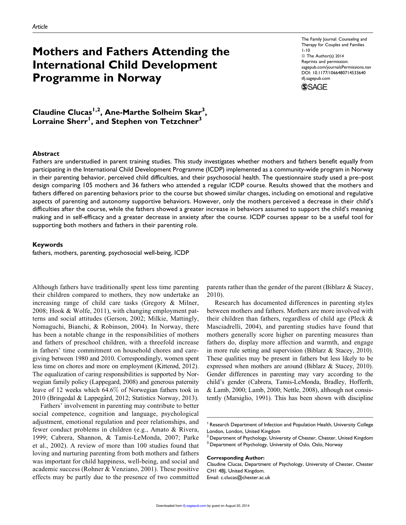# Mothers and Fathers Attending the International Child Development Programme in Norway

The Family Journal: Counseling and Therapy for Couples and Families 1-10 © The Author(s) 2014 Reprints and permission: [sagepub.com/journalsPermissions.nav](http://www.sagepub.com/journalsPermissions.nav) DOI: 10.1177/1066480714533640 [tfj.sagepub.com](http://tfj.sagepub.com)



Claudine Clucas<sup>1,2</sup>, Ane-Marthe Solheim Skar<sup>3</sup>, Lorraine Sherr $^{\mathsf{l}}$ , and Stephen von Tetzchner $^3$ 

#### Abstract

Fathers are understudied in parent training studies. This study investigates whether mothers and fathers benefit equally from participating in the International Child Development Programme (ICDP) implemented as a community-wide program in Norway in their parenting behavior, perceived child difficulties, and their psychosocial health. The questionnaire study used a pre–post design comparing 105 mothers and 36 fathers who attended a regular ICDP course. Results showed that the mothers and fathers differed on parenting behaviors prior to the course but showed similar changes, including on emotional and regulative aspects of parenting and autonomy supportive behaviors. However, only the mothers perceived a decrease in their child's difficulties after the course, while the fathers showed a greater increase in behaviors assumed to support the child's meaning making and in self-efficacy and a greater decrease in anxiety after the course. ICDP courses appear to be a useful tool for supporting both mothers and fathers in their parenting role.

#### Keywords

fathers, mothers, parenting, psychosocial well-being, ICDP

Although fathers have traditionally spent less time parenting their children compared to mothers, they now undertake an increasing range of child care tasks (Gregory & Milner, 2008; Hook & Wolfe, 2011), with changing employment patterns and social attitudes (Gerson, 2002; Milkie, Mattingly, Nomaguchi, Bianchi, & Robinson, 2004). In Norway, there has been a notable change in the responsibilities of mothers and fathers of preschool children, with a threefold increase in fathers' time commitment on household chores and caregiving between 1980 and 2010. Correspondingly, women spent less time on chores and more on employment (Kitterød, 2012). The equalization of caring responsibilities is supported by Norwegian family policy (Lappegard, 2008) and generous paternity leave of 12 weeks which 64.6% of Norwegian fathers took in 2010 (Bringedal & Lappegård, 2012; Statistics Norway, 2013).

Fathers' involvement in parenting may contribute to better social competence, cognition and language, psychological adjustment, emotional regulation and peer relationships, and fewer conduct problems in children (e.g., Amato & Rivera, 1999; Cabrera, Shannon, & Tamis-LeMonda, 2007; Parke et al., 2002). A review of more than 100 studies found that loving and nurturing parenting from both mothers and fathers was important for child happiness, well-being, and social and academic success (Rohner & Venziano, 2001). These positive effects may be partly due to the presence of two committed

parents rather than the gender of the parent (Biblarz & Stacey, 2010).

Research has documented differences in parenting styles between mothers and fathers. Mothers are more involved with their children than fathers, regardless of child age (Pleck & Masciadrelli, 2004), and parenting studies have found that mothers generally score higher on parenting measures than fathers do, display more affection and warmth, and engage in more rule setting and supervision (Biblarz & Stacey, 2010). These qualities may be present in fathers but less likely to be expressed when mothers are around (Biblarz & Stacey, 2010). Gender differences in parenting may vary according to the child's gender (Cabrera, Tamis-LeMonda, Bradley, Hofferth, & Lamb, 2000; Lamb, 2000; Nettle, 2008), although not consistently (Marsiglio, 1991). This has been shown with discipline

#### Corresponding Author:

Claudine Clucas, Department of Psychology, University of Chester, Chester CH1 4BJ, United Kingdom. Email: c.clucas@chester.ac.uk

<sup>&</sup>lt;sup>1</sup> Research Department of Infection and Population Health, University College London, London, United Kingdom

 $^2$  Department of Psychology, University of Chester, Chester, United Kingdom  $^3$  Department of Psychology, University of Oslo, Oslo, Norway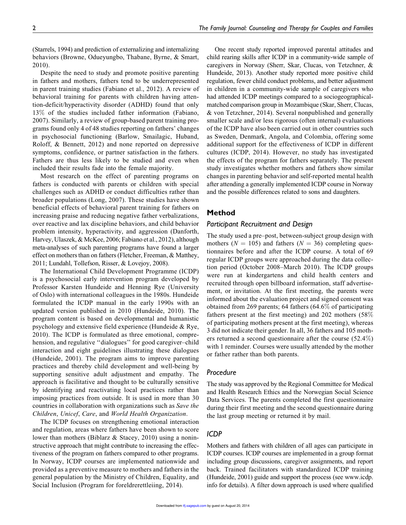(Starrels, 1994) and prediction of externalizing and internalizing behaviors (Browne, Odueyungbo, Thabane, Byrne, & Smart, 2010).

Despite the need to study and promote positive parenting in fathers and mothers, fathers tend to be underrepresented in parent training studies (Fabiano et al., 2012). A review of behavioral training for parents with children having attention-deficit/hyperactivity disorder (ADHD) found that only 13% of the studies included father information (Fabiano, 2007). Similarly, a review of group-based parent training programs found only 4 of 48 studies reporting on fathers' changes in psychosocial functioning (Barlow, Smailagic, Huband, Roloff, & Bennett, 2012) and none reported on depressive symptoms, confidence, or partner satisfaction in the fathers. Fathers are thus less likely to be studied and even when included their results fade into the female majority.

Most research on the effect of parenting programs on fathers is conducted with parents or children with special challenges such as ADHD or conduct difficulties rather than broader populations (Long, 2007). These studies have shown beneficial effects of behavioral parent training for fathers on increasing praise and reducing negative father verbalizations, over reactive and lax discipline behaviors, and child behavior problem intensity, hyperactivity, and aggression (Danforth, Harvey, Ulaszek, & McKee, 2006; Fabiano et al., 2012), although meta-analyses of such parenting programs have found a larger effect on mothers than on fathers (Fletcher, Freeman, & Matthey, 2011; Lundahl, Tollefson, Risser, & Lovejoy, 2008).

The International Child Development Programme (ICDP) is a psychosocial early intervention program developed by Professor Karsten Hundeide and Henning Rye (University of Oslo) with international colleagues in the 1980s. Hundeide formulated the ICDP manual in the early 1990s with an updated version published in 2010 (Hundeide, 2010). The program content is based on developmental and humanistic psychology and extensive field experience (Hundeide & Rye, 2010). The ICDP is formulated as three emotional, comprehension, and regulative "dialogues" for good caregiver–child interaction and eight guidelines illustrating these dialogues (Hundeide, 2001). The program aims to improve parenting practices and thereby child development and well-being by supporting sensitive adult adjustment and empathy. The approach is facilitative and thought to be culturally sensitive by identifying and reactivating local practices rather than imposing practices from outside. It is used in more than 30 countries in collaboration with organizations such as *Save the Children*, *Unicef*, *Care*, and *World Health Organization*.

The ICDP focuses on strengthening emotional interaction and regulation, areas where fathers have been shown to score lower than mothers (Biblarz & Stacey, 2010) using a noninstructive approach that might contribute to increasing the effectiveness of the program on fathers compared to other programs. In Norway, ICDP courses are implemented nationwide and provided as a preventive measure to mothers and fathers in the general population by the Ministry of Children, Equality, and Social Inclusion (Program for foreldrerettleiing, 2014).

One recent study reported improved parental attitudes and child rearing skills after ICDP in a community-wide sample of caregivers in Norway (Sherr, Skar, Clucas, von Tetzchner, & Hundeide, 2013). Another study reported more positive child regulation, fewer child conduct problems, and better adjustment in children in a community-wide sample of caregivers who had attended ICDP meetings compared to a sociogeographicalmatched comparison group in Mozambique (Skar, Sherr, Clucas, & von Tetzchner, 2014). Several nonpublished and generally smaller scale and/or less rigorous (often internal) evaluations of the ICDP have also been carried out in other countries such as Sweden, Denmark, Angola, and Colombia, offering some additional support for the effectiveness of ICDP in different cultures (ICDP, 2014). However, no study has investigated the effects of the program for fathers separately. The present study investigates whether mothers and fathers show similar changes in parenting behavior and self-reported mental health after attending a generally implemented ICDP course in Norway and the possible differences related to sons and daughters.

#### Method

#### *Participant Recruitment and Design*

The study used a pre–post, between-subject group design with mothers ( $N = 105$ ) and fathers ( $N = 36$ ) completing questionnaires before and after the ICDP course. A total of 69 regular ICDP groups were approached during the data collection period (October 2008–March 2010). The ICDP groups were run at kindergartens and child health centers and recruited through open billboard information, staff advertisement, or invitation. At the first meeting, the parents were informed about the evaluation project and signed consent was obtained from 269 parents; 64 fathers (64.6% of participating fathers present at the first meeting) and 202 mothers (58% of participating mothers present at the first meeting), whereas 3 did not indicate their gender. In all, 36 fathers and 105 mothers returned a second questionnaire after the course (52.4%) with 1 reminder. Courses were usually attended by the mother or father rather than both parents.

#### *Procedure*

The study was approved by the Regional Committee for Medical and Health Research Ethics and the Norwegian Social Science Data Services. The parents completed the first questionnaire during their first meeting and the second questionnaire during the last group meeting or returned it by mail.

#### *ICDP*

Mothers and fathers with children of all ages can participate in ICDP courses. ICDP courses are implemented in a group format including group discussions, caregiver assignments, and report back. Trained facilitators with standardized ICDP training (Hundeide, 2001) guide and support the process (see [www.icdp.](http://www.icdp.info) [info](http://www.icdp.info) for details). A filter down approach is used where qualified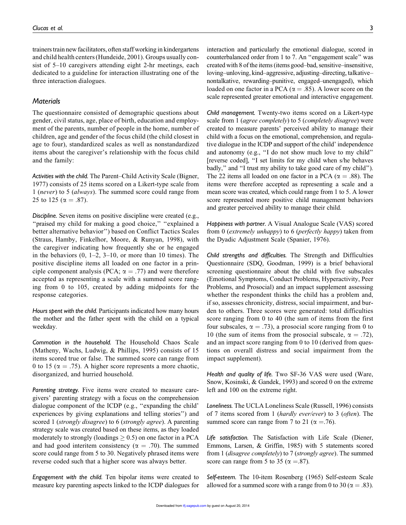trainers train new facilitators, often staff working in kindergartens and child health centers (Hundeide, 2001). Groups usually consist of 5–10 caregivers attending eight 2-hr meetings, each dedicated to a guideline for interaction illustrating one of the three interaction dialogues.

#### *Materials*

The questionnaire consisted of demographic questions about gender, civil status, age, place of birth, education and employment of the parents, number of people in the home, number of children, age and gender of the focus child (the child closest in age to four), standardized scales as well as nonstandardized items about the caregiver's relationship with the focus child and the family:

*Activities with the child.* The Parent–Child Activity Scale (Bigner, 1977) consists of 25 items scored on a Likert-type scale from 1 (*never*) to 5 (*always*). The summed score could range from 25 to 125 ( $\alpha = .87$ ).

*Discipline.* Seven items on positive discipline were created (e.g., "praised my child for making a good choice," "explained a better alternative behavior'') based on Conflict Tactics Scales (Straus, Hamby, Finkelhor, Moore, & Runyan, 1998), with the caregiver indicating how frequently she or he engaged in the behaviors  $(0, 1-2, 3-10, 0)$  or more than 10 times). The positive discipline items all loaded on one factor in a principle component analysis (PCA;  $\alpha = .77$ ) and were therefore accepted as representing a scale with a summed score ranging from 0 to 105, created by adding midpoints for the response categories.

*Hours spent with the child.* Participants indicated how many hours the mother and the father spent with the child on a typical weekday.

*Commotion in the household.* The Household Chaos Scale (Matheny, Wachs, Ludwig, & Phillips, 1995) consists of 15 items scored true or false. The summed score can range from 0 to 15 ( $\alpha = .75$ ). A higher score represents a more chaotic, disorganized, and hurried household.

*Parenting strategy.* Five items were created to measure caregivers' parenting strategy with a focus on the comprehension dialogue component of the ICDP (e.g., ''expanding the child' experiences by giving explanations and telling stories'') and scored 1 (*strongly disagree*) to 6 (*strongly agree*). A parenting strategy scale was created based on these items, as they loaded moderately to strongly (loadings  $\geq$  0.5) on one factor in a PCA and had good interitem consistency ( $\alpha = .70$ ). The summed score could range from 5 to 30. Negatively phrased items were reverse coded such that a higher score was always better.

*Engagement with the child.* Ten bipolar items were created to measure key parenting aspects linked to the ICDP dialogues for interaction and particularly the emotional dialogue, scored in counterbalanced order from 1 to 7. An ''engagement scale'' was created with 8 of the items (items good–bad, sensitive–insensitive, loving–unloving, kind–aggressive, adjusting–directing, talkative– nontalkative, rewarding–punitive, engaged–unengaged), which loaded on one factor in a PCA ( $\alpha = .85$ ). A lower score on the scale represented greater emotional and interactive engagement.

*Child management.* Twenty-two items scored on a Likert-type scale from 1 (*agree completely*) to 5 (*completely disagree*) were created to measure parents' perceived ability to manage their child with a focus on the emotional, comprehension, and regulative dialogue in the ICDP and support of the child' independence and autonomy (e.g., ''I do not show much love to my child'' [reverse coded], ''I set limits for my child when s/he behaves badly,'' and ''I trust my ability to take good care of my child''). The 22 items all loaded on one factor in a PCA ( $\alpha = .88$ ). The items were therefore accepted as representing a scale and a mean score was created, which could range from 1 to 5. A lower score represented more positive child management behaviors and greater perceived ability to manage their child.

*Happiness with partner.* A Visual Analogue Scale (VAS) scored from 0 (*extremely unhappy*) to 6 (*perfectly happy*) taken from the Dyadic Adjustment Scale (Spanier, 1976).

*Child strengths and difficulties.* The Strength and Difficulties Questionnaire (SDQ, Goodman, 1999) is a brief behavioral screening questionnaire about the child with five subscales (Emotional Symptoms, Conduct Problems, Hyperactivity, Peer Problems, and Prosocial) and an impact supplement assessing whether the respondent thinks the child has a problem and, if so, assesses chronicity, distress, social impairment, and burden to others. Three scores were generated: total difficulties score ranging from 0 to 40 (the sum of items from the first four subscales,  $\alpha = .73$ ), a prosocial score ranging from 0 to 10 (the sum of items from the prosocial subscale,  $\alpha = .72$ ), and an impact score ranging from 0 to 10 (derived from questions on overall distress and social impairment from the impact supplement).

*Health and quality of life.* Two SF-36 VAS were used (Ware, Snow, Kosinski, & Gandek, 1993) and scored 0 on the extreme left and 100 on the extreme right.

*Loneliness.* The UCLA Loneliness Scale (Russell, 1996) consists of 7 items scored from 1 (*hardly ever/ever*) to 3 (*often*). The summed score can range from 7 to 21 ( $\alpha = .76$ ).

*Life satisfaction.* The Satisfaction with Life Scale (Diener, Emmons, Larsen, & Griffin, 1985) with 5 statements scored from 1 (*disagree completely*) to 7 (*strongly agree*). The summed score can range from 5 to 35 ( $\alpha = .87$ ).

*Self-esteem.* The 10-item Rosenberg (1965) Self-esteem Scale allowed for a summed score with a range from 0 to 30 ( $\alpha = .83$ ).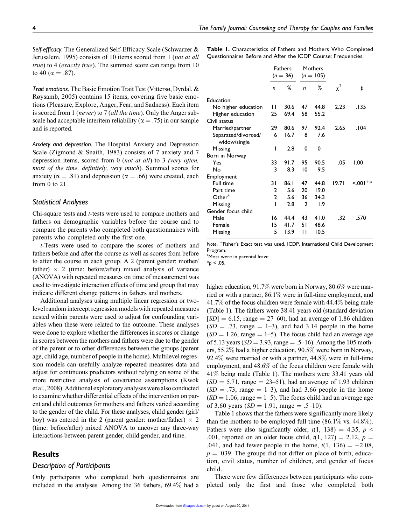*Self-efficacy.* The Generalized Self-Efficacy Scale (Schwarzer & Jerusalem, 1995) consists of 10 items scored from 1 (*not at all true*) to 4 (*exactly true*). The summed score can range from 10 to 40 ( $\alpha = .87$ ).

*Trait emotions.* The Basic Emotion Trait Test (Vittersø, Dyrdal, & Røysamb, 2005) contains 15 items, covering five basic emotions (Pleasure, Explore, Anger, Fear, and Sadness). Each item is scored from 1 (*never*) to 7 (*all the time*). Only the Anger subscale had acceptable interitem reliability ( $\alpha = .75$ ) in our sample and is reported.

*Anxiety and depression.* The Hospital Anxiety and Depression Scale (Zigmond & Snaith, 1983) consists of 7 anxiety and 7 depression items, scored from 0 (*not at all*) to 3 *(very often, most of the time, definitely, very much*). Summed scores for anxiety ( $\alpha = .81$ ) and depression ( $\alpha = .66$ ) were created, each from 0 to 21.

#### *Statistical Analyses*

Chi-square tests and *t*-tests were used to compare mothers and fathers on demographic variables before the course and to compare the parents who completed both questionnaires with parents who completed only the first one.

*t*-Tests were used to compare the scores of mothers and fathers before and after the course as well as scores from before to after the course in each group. A 2 (parent gender: mother/ father)  $\times$  2 (time: before/after) mixed analysis of variance (ANOVA) with repeated measures on time of measurement was used to investigate interaction effects of time and group that may indicate different change patterns in fathers and mothers.

Additional analyses using multiple linear regression or twolevel random intercept regression models with repeated measures nested within parents were used to adjust for confounding variables when these were related to the outcome. These analyses were done to explore whether the differences in scores or change in scores between the mothers and fathers were due to the gender of the parent or to other differences between the groups (parent age, child age, number of people in the home). Multilevel regression models can usefully analyze repeated measures data and adjust for continuous predictors without relying on some of the more restrictive analysis of covariance assumptions (Kwok et al., 2008). Additional exploratory analyses were also conducted to examine whether differential effects of the intervention on parent and child outcomes for mothers and fathers varied according to the gender of the child. For these analyses, child gender (girl/ boy) was entered in the 2 (parent gender: mother/father)  $\times$  2 (time: before/after) mixed ANOVA to uncover any three-way interactions between parent gender, child gender, and time.

#### Results

#### *Description of Participants*

Only participants who completed both questionnaires are included in the analyses. Among the 36 fathers, 69.4% had a Table 1. Characteristics of Fathers and Mothers Who Completed Questionnaires Before and After the ICDP Course: Frequencies.

|                     | <b>Fathers</b><br>$(n = 36)$ |      |              | Mothers<br>$(n = 105)$ |          |           |
|---------------------|------------------------------|------|--------------|------------------------|----------|-----------|
|                     | n                            | ℅    | n            | ℅                      | $\chi^2$ | Þ         |
| Education           |                              |      |              |                        |          |           |
| No higher education | П                            | 30.6 | 47           | 44.8                   | 2.23     | .135      |
| Higher education    | 25                           | 69.4 | 58           | 55.2                   |          |           |
| Civil status        |                              |      |              |                        |          |           |
| Married/partner     | 29                           | 80.6 | 97           | 92.4                   | 2.65     | .104      |
| Separated/divorced/ | 6                            | 16.7 | 8            | 7.6                    |          |           |
| widow/single        |                              |      |              |                        |          |           |
| Missing             | ı                            | 2.8  | 0            | 0                      |          |           |
| Born in Norway      |                              |      |              |                        |          |           |
| Yes                 | 33                           | 91.7 | 95           | 90.5                   | .05      | 1.00      |
| No                  | 3                            | 8.3  | 10           | 9.5                    |          |           |
| Employment          |                              |      |              |                        |          |           |
| Full time           | 31                           | 86.1 | 47           | 44.8                   | 19.71    | $15,001+$ |
| Part time           | 2                            | 5.6  | 20           | 19.0                   |          |           |
| Other <sup>a</sup>  | $\mathbf{2}$                 | 5.6  | 36           | 34.3                   |          |           |
| Missing             | ı                            | 2.8  | $\mathbf{2}$ | 1.9                    |          |           |
| Gender focus child  |                              |      |              |                        |          |           |
| Male                | 16                           | 44.4 | 43           | 41.0                   | .32      | .570      |
| Female              | 15                           | 41.7 | 51           | 48.6                   |          |           |
| Missing             | 5                            | 13.9 | Н            | 10.5                   |          |           |

*Note*. þ Fisher's Exact test was used. ICDP, International Child Development Program.

<sup>a</sup>Most were in parental leave.

 $*_{p}$  < .05.

higher education, 91.7% were born in Norway, 80.6% were married or with a partner, 86.1% were in full-time employment, and 41.7% of the focus children were female with 44.4% being male (Table 1). The fathers were 38.41 years old (standard deviation  $[SD] = 6.15$ , range  $= 27–60$ ), had an average of 1.86 children  $(SD = .73, \text{ range} = 1-3)$ , and had 3.14 people in the home  $(SD = 1.26$ , range  $= 1-5$ ). The focus child had an average age of 5.13 years ( $SD = 3.93$ , range = .5–16). Among the 105 mothers, 55.2% had a higher education, 90.5% were born in Norway, 92.4% were married or with a partner, 44.8% were in full-time employment, and 48.6% of the focus children were female with 41% being male (Table 1). The mothers were 33.41 years old  $(SD = 5.71$ , range  $= 23-51$ ), had an average of 1.93 children  $(SD = .73$ , range  $= 1-3$ ), and had 3.66 people in the home  $(SD = 1.06$ , range  $= 1-5$ ). The focus child had an average age of 3.60 years  $(SD = 1.91$ , range  $= .5-10$ ).

Table 1 shows that the fathers were significantly more likely than the mothers to be employed full time  $(86.1\% \text{ vs. } 44.8\%).$ Fathers were also significantly older,  $t(1, 138) = 4.35$ ,  $p <$ .001, reported on an older focus child,  $t(1, 127) = 2.12$ ,  $p =$ .041, and had fewer people in the home,  $t(1, 136) = -2.08$ ,  $p = .039$ . The groups did not differ on place of birth, education, civil status, number of children, and gender of focus child.

There were few differences between participants who completed only the first and those who completed both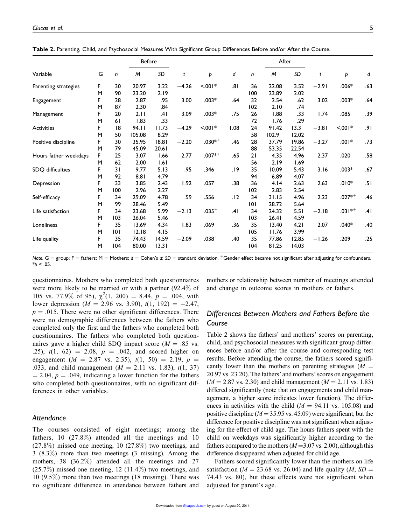| Variable                      | G  |       | <b>Before</b> |         |            |             |      |       | After |         |                        |           |     |
|-------------------------------|----|-------|---------------|---------|------------|-------------|------|-------|-------|---------|------------------------|-----------|-----|
|                               |    | n     | M             | SD      | t          | Þ           | d    | n     | M     | SD      | t                      | Þ         | d   |
| Parenting strategies          | F  | 30    | 20.97         | 3.22    | $-4.26$    | 100<        | .81  | 36    | 22.08 | 3.52    | $-2.91$                | $.006*$   | .63 |
|                               | M  | 90    | 23.20         | 2.19    |            |             |      | 100   | 23.89 | 2.02    |                        |           |     |
| Engagement                    | F  | 28    | 2.87          | .95     | 3.00       | $.003*$     | .64  | 32    | 2.54  | .62     | 3.02                   | $.003*$   | .64 |
|                               | M  | 87    | 2.30          | .84     |            |             |      | 102   | 2.10  | .74     |                        |           |     |
| Management                    | F  | 20    | 2.11          | .41     | 3.09       | $.003*$     | .75  | 26    | 1.88  | .33     | 1.74                   | .085      | .39 |
|                               | M  | 61    | 1.83          | .33     |            |             |      | 72    | 1.76  | .29     |                        |           |     |
| Activities                    | F  | 18    | 94.11         | 11.73   | $-4.29$    | 100<        | 1.08 | 24    | 91.42 | 13.3    | $-3.81$                | $< 0.01*$ | .91 |
|                               | M  | 50    | 105.08        | 8.29    |            |             |      | 58    | 102.9 | 12.02   |                        |           |     |
| F<br>Positive discipline<br>M |    | 30    | 35.95         | 18.81   | $-2.20$    | $.030^{*+}$ | .46  | 28    | 37.79 | 19.86   | $-3.27$                | $.001*$   | .73 |
|                               |    | 79    | 45.09         | 20.61   |            |             |      | 88    | 53.35 | 22.54   |                        |           |     |
| Hours father weekdays         | F  | 25    | 3.07          | 1.66    | 2.77       | $.007^{*+}$ | .65  | 21    | 4.35  | 4.96    | 2.37                   | .020      | .58 |
|                               | M  | 62    | 2.00          | 1.61    |            |             |      | 56    | 2.19  | 1.69    |                        |           |     |
| SDQ difficulties              | F  | 31    | 9.77          | 5.13    | .95        | .346        | .19  | 35    | 10.09 | 5.43    | 3.16                   | $.003*$   | .67 |
|                               | M  | 92    | 8.81          | 4.79    |            |             |      | 94    | 6.89  | 4.07    |                        |           |     |
| Depression                    | F  | 33    | 3.85          | 2.43    | 1.92       | .057        | .38  | 36    | 4.14  | 2.63    | 2.63                   | $.010*$   | .51 |
|                               | M  | 100   | 2.96          | 2.27    |            |             |      | 102   | 2.83  | 2.54    |                        |           |     |
| F<br>Self-efficacy<br>M       |    | 34    | 29.09         | 4.78    | .59        | .556        | .12  | 34    | 31.15 | 4.96    | 2.23                   | $.027**$  | .46 |
|                               |    | 99    | 28.46         | 5.49    |            |             |      | 101   | 28.72 | 5.64    |                        |           |     |
| F<br>Life satisfaction<br>M   | 34 | 23.68 | 5.99          | $-2.13$ | $.035^{+}$ | .41         | 34   | 24.32 | 5.51  | $-2.18$ | .03   $*$ <sup>+</sup> | .41       |     |
|                               |    | 103   | 26.04         | 5.46    |            |             |      | 103   | 26.41 | 4.59    |                        |           |     |
| F<br>Loneliness<br>M          | 35 | 13.69 | 4.34          | 1.83    | .069       | .36         | 35   | 13.40 | 4.21  | 2.07    | $.040*$                | .40       |     |
|                               |    | 0     | 12.18         | 4.15    |            |             |      | 105   | 11.76 | 3.99    |                        |           |     |
| Life quality                  | F  | 35    | 74.43         | 14.59   | $-2.09$    | $.038 +$    | .40  | 35    | 77.86 | 12.85   | $-1.26$                | .209      | .25 |
|                               | M  | 104   | 80.00         | 13.31   |            |             |      | 104   | 81.25 | 14.03   |                        |           |     |

Table 2. Parenting, Child, and Psychosocial Measures With Significant Group Differences Before and/or After the Course.

*Note*. G = group; F = fathers; M = Mothers;  $d$  = Cohen's  $d$ ; *SD* = standard deviation. <sup>+</sup>Gender effect became not significant after adjusting for confounders.  $*_{p}$  < .05.

questionnaires. Mothers who completed both questionnaires were more likely to be married or with a partner (92.4% of 105 vs. 77.9% of 95),  $\chi^2(1, 200) = 8.44$ ,  $p = .004$ , with lower depression ( $M = 2.96$  vs. 3.90),  $t(1, 192) = -2.47$ ,  $p = .015$ . There were no other significant differences. There were no demographic differences between the fathers who completed only the first and the fathers who completed both questionnaires. The fathers who completed both questionnaires gave a higher child SDQ impact score ( $M = .85$  vs. .25),  $t(1, 62) = 2.08$ ,  $p = .042$ , and scored higher on engagement ( $M = 2.87$  vs. 2.35),  $t(1, 50) = 2.19$ ,  $p =$ .033, and child management  $(M = 2.11$  vs. 1.83),  $t(1, 37)$  $= 2.04$ ,  $p = .049$ , indicating a lower function for the fathers who completed both questionnaires, with no significant differences in other variables.

#### *Attendance*

The courses consisted of eight meetings; among the fathers, 10 (27.8%) attended all the meetings and 10  $(27.8\%)$  missed one meeting, 10  $(27.8\%)$  two meetings, and 3 (8.3%) more than two meetings (3 missing). Among the mothers, 38 (36.2%) attended all the meetings and 27 (25.7%) missed one meeting, 12 (11.4%) two meetings, and 10 (9.5%) more than two meetings (18 missing). There was no significant difference in attendance between fathers and mothers or relationship between number of meetings attended and change in outcome scores in mothers or fathers.

### *Differences Between Mothers and Fathers Before the Course*

Table 2 shows the fathers' and mothers' scores on parenting, child, and psychosocial measures with significant group differences before and/or after the course and corresponding test results. Before attending the course, the fathers scored significantly lower than the mothers on parenting strategies  $(M =$ 20.97 vs. 23.20). The fathers' and mothers' scores on engagement  $(M = 2.87 \text{ vs. } 2.30)$  and child management  $(M = 2.11 \text{ vs. } 1.83)$ differed significantly (note that on engagements and child management, a higher score indicates lower function). The differences in activities with the child  $(M = 94.11 \text{ vs. } 105.08)$  and positive discipline ( $M = 35.95$  vs. 45.09) were significant, but the difference for positive discipline was not significant when adjusting for the effect of child age. The hours fathers spent with the child on weekdays was significantly higher according to the fathers compared to the mothers  $(M=3.07 \text{ vs. } 2.00)$ , although this difference disappeared when adjusted for child age.

Fathers scored significantly lower than the mothers on life satisfaction ( $M = 23.68$  vs. 26.04) and life quality ( $M$ ,  $SD =$ 74.43 vs. 80), but these effects were not significant when adjusted for parent's age.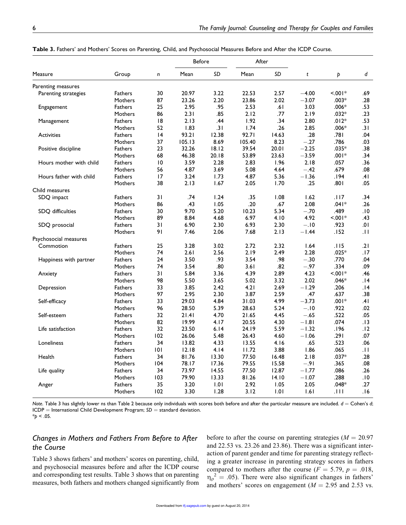|                         | Group          |              | <b>Before</b> |       |        |       |         |           |     |
|-------------------------|----------------|--------------|---------------|-------|--------|-------|---------|-----------|-----|
| Measure                 |                |              |               |       | After  |       |         |           |     |
|                         |                | $\mathsf{n}$ | Mean          | SD    | Mean   | SD    | t       | Þ         | d   |
| Parenting measures      |                |              |               |       |        |       |         |           |     |
| Parenting strategies    | <b>Fathers</b> | 30           | 20.97         | 3.22  | 22.53  | 2.57  | $-4.00$ | $< 0.01*$ | .69 |
|                         | Mothers        | 87           | 23.26         | 2.20  | 23.86  | 2.02  | $-3.07$ | .003*     | .28 |
| Engagement              | <b>Fathers</b> | 25           | 2.95          | .95   | 2.53   | .61   | 3.03    | $.006*$   | .53 |
|                         | Mothers        | 86           | 2.31          | .85   | 2.12   | .77   | 2.19    | $.032*$   | .23 |
| Management              | Fathers        | 18           | 2.13          | .44   | 1.92   | .34   | 2.80    | $.012*$   | .53 |
|                         | Mothers        | 52           | 1.83          | .31   | 1.74   | .26   | 2.85    | $.006*$   | .31 |
| <b>Activities</b>       | <b>Fathers</b> | 4            | 93.21         | 12.38 | 92.71  | 14.63 | .28     | .781      | .04 |
|                         | Mothers        | 37           | 105.13        | 8.69  | 105.40 | 8.23  | $-.27$  | .786      | .03 |
| Positive discipline     | Fathers        | 23           | 32.26         | 18.12 | 39.54  | 20.01 | $-2.25$ | $.035*$   | .38 |
|                         | Mothers        | 68           | 46.38         | 20.18 | 53.89  | 23.63 | $-3.59$ | $.001*$   | .34 |
| Hours mother with child | Fathers        | 10           | 3.59          | 2.28  | 2.83   | 1.96  | 2.18    | .057      | .36 |
|                         | Mothers        | 56           | 4.87          | 3.69  | 5.08   | 4.64  | $-.42$  | .679      | .08 |
| Hours father with child | Fathers        | 17           | 3.24          | 1.73  | 4.87   | 5.36  | $-1.36$ | .194      | .41 |
|                         | Mothers        | 38           | 2.13          | 1.67  | 2.05   | 1.70  | .25     | .801      | .05 |
| Child measures          |                |              |               |       |        |       |         |           |     |
| SDQ impact              | Fathers        | 31           | .74           | 1.24  | .35    | 1.08  | 1.62    | .। । 7    | .34 |
|                         | Mothers        | 86           | .43           | 1.05  | .20    | .67   | 2.08    | $.041*$   | .26 |
| SDQ difficulties        | <b>Fathers</b> | 30           | 9.70          | 5.20  | 10.23  | 5.34  | $-.70$  | .489      | .10 |
|                         | Mothers        | 89           | 8.84          | 4.68  | 6.97   | 4.10  | 4.92    | $100$ .>  | .43 |
| SDQ prosocial           | Fathers        | 31           | 6.90          | 2.30  | 6.93   | 2.30  | $-.10$  | .923      | .01 |
|                         | Mothers        | 91           | 7.46          | 2.06  | 7.68   | 2.13  | $-1.44$ | .152      | .11 |
| Psychosocial measures   |                |              |               |       |        |       |         |           |     |
| Commotion               | Fathers        | 25           | 3.28          | 3.02  | 2.72   | 2.32  | 1.64    | .115      | .21 |
|                         | Mothers        | 74           | 2.61          | 2.56  | 2.19   | 2.49  | 2.28    | $.025*$   | .17 |
| Happiness with partner  | <b>Fathers</b> | 24           | 3.50          | .93   | 3.54   | .98   | $-.30$  | .770      | .04 |
|                         | Mothers        | 74           | 3.54          | .80   | 3.61   | .82   | $-.97$  | .334      | .09 |
| Anxiety                 | Fathers        | 31           | 5.84          | 3.36  | 4.39   | 2.89  | 4.23    | $< 001*$  | .46 |
|                         | Mothers        | 98           | 5.50          | 3.65  | 5.02   | 3.32  | 2.02    | $.046*$   | .14 |
| Depression              | <b>Fathers</b> | 33           | 3.85          | 2.42  | 4.21   | 2.69  | $-1.29$ | .206      | 14. |
|                         | Mothers        | 97           | 2.95          | 2.30  | 3.87   | 2.59  | .47     | .637      | .38 |
| Self-efficacy           | <b>Fathers</b> | 33           | 29.03         | 4.84  | 31.03  | 4.99  | $-3.73$ | $.001*$   | .4١ |
|                         | Mothers        | 96           | 28.50         | 5.39  | 28.63  | 5.24  | $-.10$  | .922      | .02 |
| Self-esteem             | Fathers        | 32           | 21.41         | 4.70  | 21.65  | 4.45  | $-.65$  | .522      | .05 |
|                         | Mothers        | 82           | 19.99         | 4.17  | 20.55  | 4.30  | $-1.81$ | .074      | .13 |
| Life satisfaction       | <b>Fathers</b> | 32           | 23.50         | 6.14  | 24.19  | 5.59  | $-1.32$ | 196.      | .12 |
|                         | Mothers        | 102          | 26.06         | 5.48  | 26.43  | 4.60  | $-1.06$ | .291      | .07 |
| Loneliness              | Fathers        | 34           | 13.82         | 4.33  | 13.55  | 4.16  | .65     | .523      | .06 |
|                         | Mothers        | 101          | 12.18         | 4.14  | 11.72  | 3.88  | 1.86    | .065      | .H  |
| Health                  | <b>Fathers</b> | 34           | 81.76         | 13.30 | 77.50  | 16.48 | 2.18    | $.037*$   | .28 |
|                         | Mothers        | 104          | 78.17         | 17.36 | 79.55  | 15.58 | $-.91$  | .365      | .08 |
| Life quality            | <b>Fathers</b> | 34           | 73.97         | 14.55 | 77.50  | 12.87 | $-1.77$ | .086      | .26 |
|                         | Mothers        | 103          | 79.90         | 13.33 | 81.26  | 14.10 | $-1.07$ | .288      | .10 |
| Anger                   | Fathers        | 35           | 3.20          | 1.01  | 2.92   | 1.05  | 2.05    | $.048*$   | .27 |
|                         | Mothers        | 102          | 3.30          | 1.28  | 3.12   | 1.01  | 1.61    | .111      | 16. |

Table 3. Fathers' and Mothers' Scores on Parenting, Child, and Psychosocial Measures Before and After the ICDP Course.

*Note.* Table 3 has slightly lower ns than Table 2 because only individuals with scores both before and after the particular measure are included.  $d =$  Cohen's  $d$ ; ICDP = International Child Development Program; *SD* = standard deviation.  $*_{p}$  < .05.

## *Changes in Mothers and Fathers From Before to After the Course*

Table 3 shows fathers' and mothers' scores on parenting, child, and psychosocial measures before and after the ICDP course and corresponding test results. Table 3 shows that on parenting measures, both fathers and mothers changed significantly from

before to after the course on parenting strategies  $(M = 20.97)$ and 22.53 vs. 23.26 and 23.86). There was a significant interaction of parent gender and time for parenting strategy reflecting a greater increase in parenting strategy scores in fathers compared to mothers after the course  $(F = 5.79, p = .018,$  $\eta_{\rho}^2 = .05$ ). There were also significant changes in fathers' and mothers' scores on engagement ( $M = 2.95$  and 2.53 vs.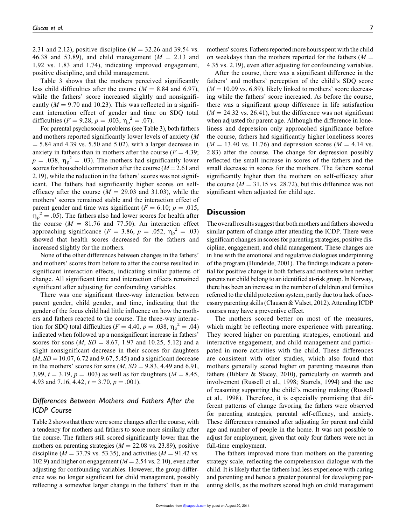2.31 and 2.12), positive discipline ( $M = 32.26$  and 39.54 vs. 46.38 and 53.89), and child management  $(M = 2.13$  and 1.92 vs. 1.83 and 1.74), indicating improved engagement, positive discipline, and child management.

Table 3 shows that the mothers perceived significantly less child difficulties after the course  $(M = 8.84$  and 6.97), while the fathers' score increased slightly and nonsignificantly  $(M = 9.70$  and 10.23). This was reflected in a significant interaction effect of gender and time on SDQ total difficulties ( $F = 9.28$ ,  $p = .003$ ,  $\eta_p^2 = .07$ ).

For parental psychosocial problems (see Table 3), both fathers and mothers reported significantly lower levels of anxiety (*M*  $=$  5.84 and 4.39 vs. 5.50 and 5.02), with a larger decrease in anxiety in fathers than in mothers after the course  $(F = 4.39;$  $p = .038$ ,  $\eta_p^2 = .03$ ). The mothers had significantly lower scores for household commotion after the course  $(M = 2.61$  and 2.19), while the reduction in the fathers' scores was not significant. The fathers had significantly higher scores on selfefficacy after the course  $(M = 29.03$  and 31.03), while the mothers' scores remained stable and the interaction effect of parent gender and time was significant ( $F = 6.10$ ;  $p = .015$ ,  $\eta_{\rho}^2 = .05$ ). The fathers also had lower scores for health after the course  $(M = 81.76$  and 77.50). An interaction effect approaching significance ( $F = 3.86, p = .052, \eta_p^2 = .03$ ) showed that health scores decreased for the fathers and increased slightly for the mothers.

None of the other differences between changes in the fathers' and mothers' scores from before to after the course resulted in significant interaction effects, indicating similar patterns of change. All significant time and interaction effects remained significant after adjusting for confounding variables.

There was one significant three-way interaction between parent gender, child gender, and time, indicating that the gender of the focus child had little influence on how the mothers and fathers reacted to the course. The three-way interaction for SDQ total difficulties ( $F = 4.40, p = .038, \eta_{\rho}^{2} = .04$ ) indicated when followed up a nonsignificant increase in fathers' scores for sons  $(M, SD = 8.67, 1.97, and 10.25, 5.12)$  and a slight nonsignificant decrease in their scores for daughters  $(M, SD = 10.07, 6.72$  and 9.67, 5.45) and a significant decrease in the mothers' scores for sons  $(M, SD = 9.83, 4.49,$  and  $6.91,$ 3.99,  $t = 3.19$ ,  $p = .003$ ) as well as for daughters ( $M = 8.45$ , 4.93 and 7.16, 4.42,  $t = 3.70$ ,  $p = .001$ ).

#### *Differences Between Mothers and Fathers After the ICDP Course*

Table 2 shows that there were some changes after the course, with a tendency for mothers and fathers to score more similarly after the course. The fathers still scored significantly lower than the mothers on parenting strategies  $(M = 22.08 \text{ vs. } 23.89)$ , positive discipline ( $M = 37.79$  vs. 53.35), and activities ( $M = 91.42$  vs. 102.9) and higher on engagement ( $M = 2.54$  vs. 2.10), even after adjusting for confounding variables. However, the group difference was no longer significant for child management, possibly reflecting a somewhat larger change in the fathers' than in the mothers' scores. Fathers reported more hours spent with the child on weekdays than the mothers reported for the fathers  $(M =$ 4.35 vs. 2.19), even after adjusting for confounding variables.

After the course, there was a significant difference in the fathers' and mothers' perception of the child's SDQ score  $(M = 10.09 \text{ vs. } 6.89)$ , likely linked to mothers' score decreasing while the fathers' score increased. As before the course, there was a significant group difference in life satisfaction  $(M = 24.32 \text{ vs. } 26.41)$ , but the difference was not significant when adjusted for parent age. Although the difference in loneliness and depression only approached significance before the course, fathers had significantly higher loneliness scores  $(M = 13.40 \text{ vs. } 11.76)$  and depression scores  $(M = 4.14 \text{ vs. } 11.76)$ 2.83) after the course. The change for depression possibly reflected the small increase in scores of the fathers and the small decrease in scores for the mothers. The fathers scored significantly higher than the mothers on self-efficacy after the course  $(M = 31.15 \text{ vs. } 28.72)$ , but this difference was not significant when adjusted for child age.

#### **Discussion**

The overall results suggest that both mothers and fathers showed a similar pattern of change after attending the ICDP. There were significant changes in scores for parenting strategies, positive discipline, engagement, and child management. These changes are in line with the emotional and regulative dialogues underpinning of the program (Hundeide, 2001). The findings indicate a potential for positive change in both fathers and mothers when neither parents nor child belong to an identified at-risk group. In Norway, there has been an increase in the number of children and families referred to the child protection system, partly due to a lack of necessary parenting skills (Clausen & Valset, 2012). Attending ICDP courses may have a preventive effect.

The mothers scored better on most of the measures, which might be reflecting more experience with parenting. They scored higher on parenting strategies, emotional and interactive engagement, and child management and participated in more activities with the child. These differences are consistent with other studies, which also found that mothers generally scored higher on parenting measures than fathers (Biblarz & Stacey, 2010), particularly on warmth and involvement (Russell et al., 1998; Starrels, 1994) and the use of reasoning supporting the child's meaning making (Russell et al., 1998). Therefore, it is especially promising that different patterns of change favoring the fathers were observed for parenting strategies, parental self-efficacy, and anxiety. These differences remained after adjusting for parent and child age and number of people in the home. It was not possible to adjust for employment, given that only four fathers were not in full-time employment.

The fathers improved more than mothers on the parenting strategy scale, reflecting the comprehension dialogue with the child. It is likely that the fathers had less experience with caring and parenting and hence a greater potential for developing parenting skills, as the mothers scored high on child management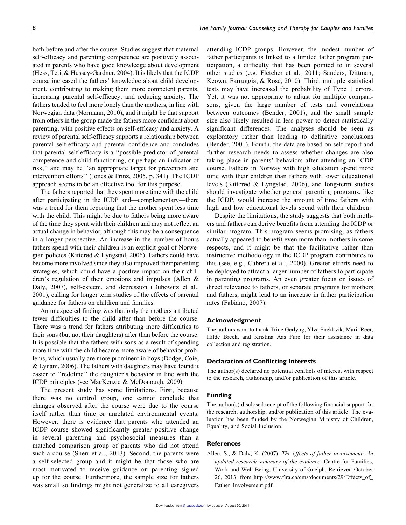both before and after the course. Studies suggest that maternal self-efficacy and parenting competence are positively associated in parents who have good knowledge about development (Hess, Teti, & Hussey-Gardner, 2004). It is likely that the ICDP course increased the fathers' knowledge about child development, contributing to making them more competent parents, increasing parental self-efficacy, and reducing anxiety. The fathers tended to feel more lonely than the mothers, in line with Norwegian data (Normann, 2010), and it might be that support from others in the group made the fathers more confident about parenting, with positive effects on self-efficacy and anxiety. A review of parental self-efficacy supports a relationship between parental self-efficacy and parental confidence and concludes that parental self-efficacy is a ''possible predictor of parental competence and child functioning, or perhaps an indicator of risk,'' and may be ''an appropriate target for prevention and intervention efforts'' (Jones & Prinz, 2005, p. 341). The ICDP approach seems to be an effective tool for this purpose.

The fathers reported that they spent more time with the child after participating in the ICDP and—complementary—there was a trend for them reporting that the mother spent less time with the child. This might be due to fathers being more aware of the time they spent with their children and may not reflect an actual change in behavior, although this may be a consequence in a longer perspective. An increase in the number of hours fathers spend with their children is an explicit goal of Norwegian policies (Kitterød & Lyngstad, 2006). Fathers could have become more involved since they also improved their parenting strategies, which could have a positive impact on their children's regulation of their emotions and impulses (Allen & Daly, 2007), self-esteem, and depression (Dubowitz et al., 2001), calling for longer term studies of the effects of parental guidance for fathers on children and families.

An unexpected finding was that only the mothers attributed fewer difficulties to the child after than before the course. There was a trend for fathers attributing more difficulties to their sons (but not their daughters) after than before the course. It is possible that the fathers with sons as a result of spending more time with the child became more aware of behavior problems, which usually are more prominent in boys (Dodge, Coie, & Lynam, 2006). The fathers with daughters may have found it easier to ''redefine'' the daughter's behavior in line with the ICDP principles (see MacKenzie & McDonough, 2009).

The present study has some limitations. First, because there was no control group, one cannot conclude that changes observed after the course were due to the course itself rather than time or unrelated environmental events. However, there is evidence that parents who attended an ICDP course showed significantly greater positive change in several parenting and psychosocial measures than a matched comparison group of parents who did not attend such a course (Sherr et al., 2013). Second, the parents were a self-selected group and it might be that those who are most motivated to receive guidance on parenting signed up for the course. Furthermore, the sample size for fathers was small so findings might not generalize to all caregivers

attending ICDP groups. However, the modest number of father participants is linked to a limited father program participation, a difficulty that has been pointed to in several other studies (e.g. Fletcher et al., 2011; Sanders, Dittman, Keown, Farruggia, & Rose, 2010). Third, multiple statistical tests may have increased the probability of Type 1 errors. Yet, it was not appropriate to adjust for multiple comparisons, given the large number of tests and correlations between outcomes (Bender, 2001), and the small sample size also likely resulted in less power to detect statistically significant differences. The analyses should be seen as exploratory rather than leading to definitive conclusions (Bender, 2001). Fourth, the data are based on self-report and further research needs to assess whether changes are also taking place in parents' behaviors after attending an ICDP course. Fathers in Norway with high education spend more time with their children than fathers with lower educational levels (Kitterød & Lyngstad, 2006), and long-term studies should investigate whether general parenting programs, like the ICDP, would increase the amount of time fathers with high and low educational levels spend with their children.

Despite the limitations, the study suggests that both mothers and fathers can derive benefits from attending the ICDP or similar program. This program seems promising, as fathers actually appeared to benefit even more than mothers in some respects, and it might be that the facilitative rather than instructive methodology in the ICDP program contributes to this (see, e.g., Cabrera et al., 2000). Greater efforts need to be deployed to attract a larger number of fathers to participate in parenting programs. An even greater focus on issues of direct relevance to fathers, or separate programs for mothers and fathers, might lead to an increase in father participation rates (Fabiano, 2007).

#### Acknowledgment

The authors want to thank Trine Gerlyng, Ylva Snekkvik, Marit Reer, Hilde Breck, and Kristina Aas Fure for their assistance in data collection and registration.

#### Declaration of Conflicting Interests

The author(s) declared no potential conflicts of interest with respect to the research, authorship, and/or publication of this article.

#### Funding

The author(s) disclosed receipt of the following financial support for the research, authorship, and/or publication of this article: The evaluation has been funded by the Norwegian Ministry of Children, Equality, and Social Inclusion.

#### References

Allen, S., & Daly, K. (2007). *The effects of father involvement: An updated research summary of the evidence*. Centre for Families, Work and Well-Being, University of Guelph. Retrieved October 26, 2013, from [http://www.fira.ca/cms/documents/29/Effects\\_of\\_](http://www.fira.ca/cms/documents/29/Effects_of_Father_Involvement.pdf) [Father\\_Involvement.pdf](http://www.fira.ca/cms/documents/29/Effects_of_Father_Involvement.pdf)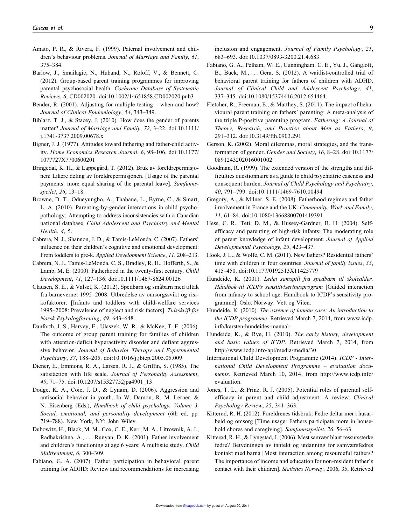- Amato, P. R., & Rivera, F. (1999). Paternal involvement and children's behaviour problems. *Journal of Marriage and Family*, *61*, 375–384.
- Barlow, J., Smailagic, N., Huband, N., Roloff, V., & Bennett, C. (2012). Group-based parent training programmes for improving parental psychosocial health. *Cochrane Database of Systematic Reviews*, *6*, CD002020. doi:10.1002/14651858.CD002020.pub3
- Bender, R. (2001). Adjusting for multiple testing when and how? *Journal of Clinical Epidemiology*, *54*, 343–349.
- Biblarz, T. J., & Stacey, J. (2010). How does the gender of parents matter? *Journal of Marriage and Family*, *72*, 3–22. doi:10.1111/ j.1741-3737.2009.00678.x
- Bigner, J. J. (1977). Attitudes toward fathering and father-child activity. *Home Economics Research Journal*, *6*, 98–106. doi:10.1177/ 1077727X7700600201
- Bringedal, K. H., & Lappegård, T. (2012). Bruk av foreldrepermisjonen: Likere deling av foreldrepermisjonen. [Usage of the parental payments: more equal sharing of the parental leave]. *Samfunnsspeilet*, *26*, 13–18.
- Browne, D. T., Odueyungbo, A., Thabane, L., Byrne, C., & Smart, L. A. (2010). Parenting-by-gender interactions in child psychopathology: Attempting to address inconsistencies with a Canadian national database. *Child Adolescent and Psychiatry and Mental Health*, *4*, 5.
- Cabrera, N. J., Shannon, J. D., & Tamis-LeMonda, C. (2007). Fathers' influence on their children's cognitive and emotional development: From toddlers to pre-k. *Applied Development Science*, *11*, 208–213.
- Cabrera, N. J., Tamis-LeMonda, C. S., Bradley, R. H., Hofferth, S., & Lamb, M, E. (2000). Fatherhood in the twenty-first century. *Child Development*, *71*, 127–136. doi:10.1111/1467-8624.00126
- Clausen, S. E., & Valset, K. (2012). Spedbarn og småbarn med tiltak fra barnevernet 1995–2008: Utbredelse av omsorgssvikt og risikofaktorer. [Infants and toddlers with child-welfare services 1995–2008: Prevalence of neglect and risk factors]. *Tidsskrift for Norsk Psykologforening*, *49*, 643–648.
- Danforth, J. S., Harvey, E., Ulaszek, W. R., & McKee, T. E. (2006). The outcome of group parent training for families of children with attention-deficit hyperactivity disorder and defiant aggressive behavior. *Journal of Behavior Therapy and Experimental Psychiatry*, *37*, 188–205. doi:10.1016/j.jbtep.2005.05.009
- Diener, E., Emmons, R. A., Larsen, R. J., & Griffin, S. (1985). The satisfaction with life scale. *Journal of Personality Assessment*, *49*, 71–75. doi:10.1207/s15327752jpa4901\_13
- Dodge, K. A., Coie, J. D., & Lynam, D. (2006). Aggression and antisocial behavior in youth. In W. Damon, R. M. Lerner, & N. Eisenberg (Eds.), *Handbook of child psychology, Volume 3. Social, emotional, and personality development* (6th ed, pp. 719–788). New York, NY: John Wiley.
- Dubowitz, H., Black, M. M., Cox, C. E., Kerr, M. A., Litrownik, A. J., Radhakrishna, A., ... Runyan, D. K. (2001). Father involvement and children's functioning at age 6 years: A multisite study. *Child Maltreatment*, *6*, 300–309.
- Fabiano, G. A. (2007). Father participation in behavioral parent training for ADHD: Review and recommendations for increasing

inclusion and engagement. *Journal of Family Psychology*, *21*, 683–693. doi:10.1037/0893-3200.21.4.683

- Fabiano, G. A., Pelham, W. E., Cunningham, C. E., Yu, J., Gangloff, B., Buck, M., ... Gera, S. (2012). A waitlist-controlled trial of behavioral parent training for fathers of children with ADHD. *Journal of Clinical Child and Adolescent Psychology*, *41*, 337–345. doi:10.1080/15374416.2012.654464.
- Fletcher, R., Freeman, E., & Matthey, S. (2011). The impact of behavioural parent training on fathers' parenting: A meta-analysis of the triple P-positive parenting program. *Fathering: A Journal of Theory, Research, and Practice about Men as Fathers*, *9*, 291–312. doi:10.3149/fth.0903.291
- Gerson, K. (2002). Moral dilemmas, moral strategies, and the transformation of gender. *Gender and Society*, *16*, 8–28. doi:10.1177/ 0891243202016001002
- Goodman, R. (1999). The extended version of the strengths and difficulties questionnaire as a guide to child psychiatric caseness and consequent burden. *Journal of Child Psychology and Psychiatry*, *40*, 791–799. doi:10.1111/1469-7610.00494
- Gregory, A., & Milner, S. E. (2008). Fatherhood regimes and father involvement in France and the UK. *Community, Work and Family*, *11*, 61–84. doi:10.1080/13668800701419391
- Hess, C. R., Teti, D. M., & Hussey-Gardner, B. H. (2004). Selfefficacy and parenting of high-risk infants: The moderating role of parent knowledge of infant development. *Journal of Applied Developmental Psychology*, *25*, 423–437.
- Hook, J. L., & Wolfe, C. M. (2011). New fathers? Residential fathers' time with children in four countries. *Journal of family issues*, *33*, 415–450. doi:10.1177/0192513X11425779
- Hundeide, K. (2001). *Ledet samspill fra spedbarn til skolealder. Ha˚ndbok til ICDPs sensitiviseringsprogram* [Guided interaction from infancy to school age. Handbook to ICDP's sensitivity programme]. Oslo, Norway: Vett og Viten.
- Hundeide, K. (2010). *The essence of human care: An introduction to the ICDP programme*. Retrieved March 7, 2014, from [www.icdp.](www.icdp.info/karsten-hundeides-manual-) [info/karsten-hundeides-manual-](www.icdp.info/karsten-hundeides-manual-)
- Hundeide, K., & Rye, H. (2010). *The early history, development and basic values of ICDP*. Retrieved March 7, 2014, from <http://www.icdp.info/api/media/media/30>
- International Child Development Programme (2014). *ICDP International Child Development Programme – evaluation documents*. Retrieved March 10, 2014, from [http://www.icdp.info/](http://www.icdp.info/evaluation) [evaluation](http://www.icdp.info/evaluation).
- Jones, T. L., & Prinz, R. J. (2005). Potential roles of parental selfefficacy in parent and child adjustment: A review. *Clinical Psychology Review*, *25*, 341–363.
- Kitterød, R. H. (2012). Foreldrenes tidsbruk: Fedre deltar mer i husarbeid og omsorg [Time usage: Fathers participate more in household chores and caregiving]. *Samfunnsspeilet*, *26*, 56–63.
- Kitterød, R. H., & Lyngstad, J. (2006). Mest samvær blant ressurssterke fedre? Betydningen av inntekt og utdanning for samværsfedres kontakt med barna [Most interaction among resourceful fathers? The importance of income and education for non-resident father's contact with their children]. *Statistics Norway*, 2006, 35, Retrieved